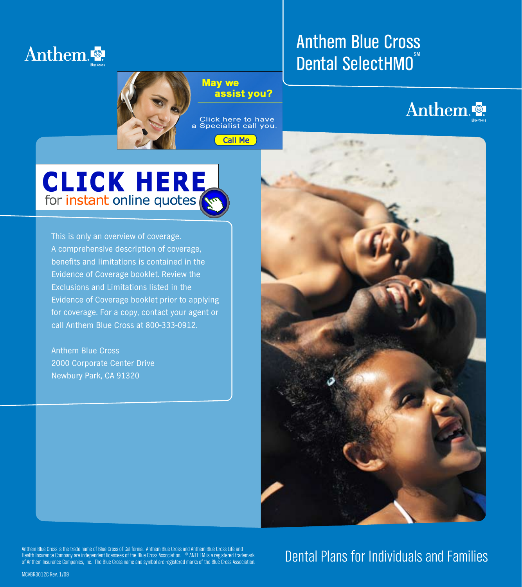

#### Anthem Blue Cross type acts as a strong with the Anthem Blue cross type acts as a strong with the Anthem Blue Dental SelectHMO<sup>®</sup>  $\text{SM}$  . The symbol is redundant the symbol is redundant the symbol is redundant to redundant the symbol is redundant to  $\sim$

Anthem Blue Cross (of California)



## Anthem

# **CLICK HERE**<br>for instant online quotes

This is only an overview of coverage. A comprehensive description of coverage, benefits and limitations is contained in the Evidence of Coverage booklet. Review the Exclusions and Limitations listed in the Evidence of Coverage booklet prior to applying for coverage. For a copy, contact your agent or call Anthem Blue Cross at 800-333-0912.

Anthem Blue Cross 2000 Corporate Center Drive Newbury Park, CA 91320



Anthem Blue Cross is the trade name of Blue Cross of California. Anthem Blue Cross and Anthem Blue Cross Life and<br>Health Insurance Company are independent licensees of the Blue Cross Association. ® ANTHEM is a registered t

### Dental Plans for Individuals and Families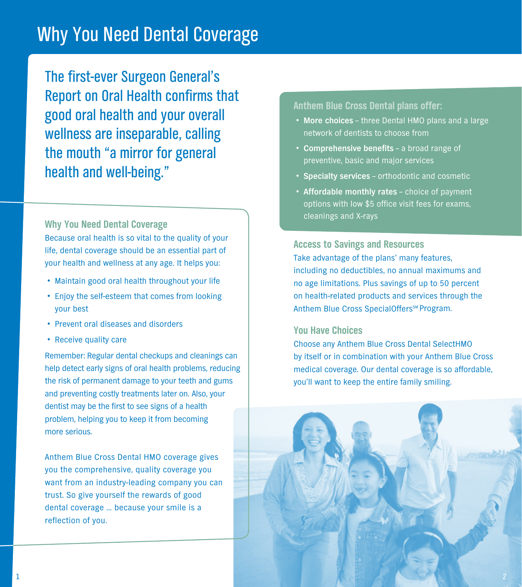### Why You Need Dental Coverage

The first-ever Surgeon General's Report on Oral Health confirms that good oral health and your overall wellness are inseparable, calling the mouth "a mirror for general health and well-being."

**Why You Need Dental Coverage** Because oral health is so vital to the quality of your life, dental coverage should be an essential part of your health and wellness at any age. It helps you:

- Maintain good oral health throughout your life
- Enjoy the self-esteem that comes from looking your best
- • Prevent oral diseases and disorders
- • Receive quality care

Remember: Regular dental checkups and cleanings can help detect early signs of oral health problems, reducing the risk of permanent damage to your teeth and gums and preventing costly treatments later on. Also, your dentist may be the first to see signs of a health problem, helping you to keep it from becoming more serious.

Anthem Blue Cross Dental HMO coverage gives you the comprehensive, quality coverage you want from an industry-leading company you can trust. So give yourself the rewards of good dental coverage … because your smile is a reflection of you.

**Anthem Blue Cross Dental plans offer:**

- • **More choices** three Dental HMO plans and a large network of dentists to choose from
- • **Comprehensive benefits** a broad range of preventive, basic and major services
- • **Specialty services** orthodontic and cosmetic
- • **Affordable monthly rates** choice of payment options with low \$5 office visit fees for exams, cleanings and X-rays

**Access to Savings and Resources**

Take advantage of the plans' many features, including no deductibles, no annual maximums and no age limitations. Plus savings of up to 50 percent on health-related products and services through the Anthem Blue Cross SpecialOffers<sup>SM</sup> Program.

#### **You Have Choices**

Choose any Anthem Blue Cross Dental SelectHMO by itself or in combination with your Anthem Blue Cross medical coverage. Our dental coverage is so affordable, you'll want to keep the entire family smiling.

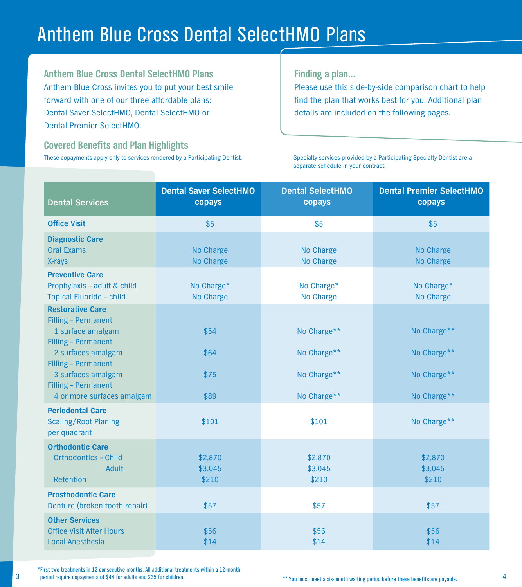### Anthem Blue Cross Dental SelectHMO Plans

**Anthem Blue Cross Dental SelectHMO Plans** Anthem Blue Cross invites you to put your best smile forward with one of our three affordable plans: Dental Saver SelectHMO, Dental SelectHMO or Dental Premier SelectHMO.

**Covered Benefits and Plan Highlights**  These copayments apply only to services rendered by a Participating Dentist. **Finding a plan...**

Please use this side-by-side comparison chart to help find the plan that works best for you. Additional plan details are included on the following pages.

Specialty services provided by a Participating Specialty Dentist are a separate schedule in your contract.

| <b>Dental Services</b>                                                                                           | <b>Dental Saver SelectHMO</b><br>copays | <b>Dental SelectHMO</b><br>copays | <b>Dental Premier SelectHMO</b><br>copays |
|------------------------------------------------------------------------------------------------------------------|-----------------------------------------|-----------------------------------|-------------------------------------------|
| <b>Office Visit</b>                                                                                              | \$5                                     | \$5                               | \$5                                       |
| <b>Diagnostic Care</b><br><b>Oral Exams</b><br>X-rays                                                            | No Charge<br>No Charge                  | No Charge<br>No Charge            | No Charge<br>No Charge                    |
| <b>Preventive Care</b><br>Prophylaxis - adult & child<br>Topical Fluoride - child                                | No Charge*<br>No Charge                 | No Charge*<br>No Charge           | No Charge*<br>No Charge                   |
| <b>Restorative Care</b><br>Filling - Permanent<br>1 surface amalgam<br>Filling - Permanent<br>2 surfaces amalgam | \$54<br>\$64                            | No Charge**<br>No Charge**        | No Charge**<br>No Charge**                |
| Filling - Permanent<br>3 surfaces amalgam<br>Filling - Permanent<br>4 or more surfaces amalgam                   | \$75<br>\$89                            | No Charge**<br>No Charge**        | No Charge**<br>No Charge**                |
| <b>Periodontal Care</b><br><b>Scaling/Root Planing</b><br>per quadrant                                           | \$101                                   | \$101                             | No Charge**                               |
| <b>Orthodontic Care</b><br><b>Orthodontics - Child</b><br>Adult<br>Retention                                     | \$2,870<br>\$3,045<br>\$210             | \$2,870<br>\$3,045<br>\$210       | \$2,870<br>\$3,045<br>\$210               |
| <b>Prosthodontic Care</b><br>Denture (broken tooth repair)                                                       | \$57                                    | \$57                              | \$57                                      |
| <b>Other Services</b><br><b>Office Visit After Hours</b><br><b>Local Anesthesia</b>                              | \$56<br>\$14                            | \$56<br>\$14                      | \$56<br>\$14                              |

<sup>3</sup> <sup>4</sup> \*First two treatments in 12 consecutive months. All additional treatments within a 12-month period require copayments of \$44 for adults and \$35 for children.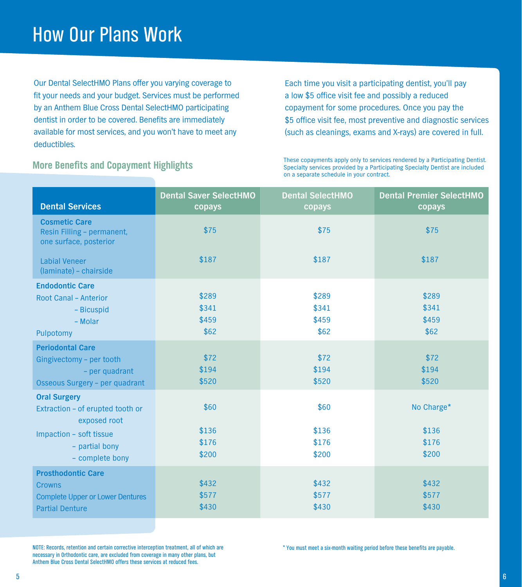### How Our Plans Work

Our Dental SelectHMO Plans offer you varying coverage to fit your needs and your budget. Services must be performed by an Anthem Blue Cross Dental SelectHMO participating dentist in order to be covered. Benefits are immediately available for most services, and you won't have to meet any deductibles.

Each time you visit a participating dentist, you'll pay a low \$5 office visit fee and possibly a reduced copayment for some procedures. Once you pay the \$5 office visit fee, most preventive and diagnostic services (such as cleanings, exams and X-rays) are covered in full.

**More Benefits and Copayment Highlights** These copayments apply only to services rendered by a Participating Dentist.<br>Specialty services provided by a Participating Specialty Dentist are included Specialty services provided by a Participating Specialty Dentist are included on a separate schedule in your contract.

| <b>Dental Services</b>                                                                                                                  | <b>Dental Saver SelectHMO</b><br>copays | <b>Dental SelectHMO</b><br>copays | <b>Dental Premier SelectHMO</b><br>copays |
|-----------------------------------------------------------------------------------------------------------------------------------------|-----------------------------------------|-----------------------------------|-------------------------------------------|
| <b>Cosmetic Care</b><br>Resin Filling - permanent,<br>one surface, posterior                                                            | \$75                                    | \$75                              | \$75                                      |
| <b>Labial Veneer</b><br>(laminate) - chairside                                                                                          | \$187                                   | \$187                             | \$187                                     |
| <b>Endodontic Care</b><br>Root Canal - Anterior<br>- Bicuspid<br>- Molar<br>Pulpotomy                                                   | \$289<br>\$341<br>\$459<br>\$62         | \$289<br>\$341<br>\$459<br>\$62   | \$289<br>\$341<br>\$459<br>\$62           |
| <b>Periodontal Care</b><br>Gingivectomy - per tooth<br>- per quadrant<br>Osseous Surgery - per quadrant                                 | \$72<br>\$194<br>\$520                  | \$72<br>\$194<br>\$520            | \$72<br>\$194<br>\$520                    |
| <b>Oral Surgery</b><br>Extraction - of erupted tooth or<br>exposed root<br>Impaction - soft tissue<br>- partial bony<br>- complete bony | \$60<br>\$136<br>\$176<br>\$200         | \$60<br>\$136<br>\$176<br>\$200   | No Charge*<br>\$136<br>\$176<br>\$200     |
| <b>Prosthodontic Care</b><br><b>Crowns</b><br><b>Complete Upper or Lower Dentures</b><br><b>Partial Denture</b>                         | \$432<br>\$577<br>\$430                 | \$432<br>\$577<br>\$430           | \$432<br>\$577<br>\$430                   |

NOTE: Records, retention and certain corrective interception treatment, all of which are necessary in Orthodontic care, are excluded from coverage in many other plans, but Anthem Blue Cross Dental SelectHMO offers these services at reduced fees.

\* You must meet a six-month waiting period before these benefits are payable.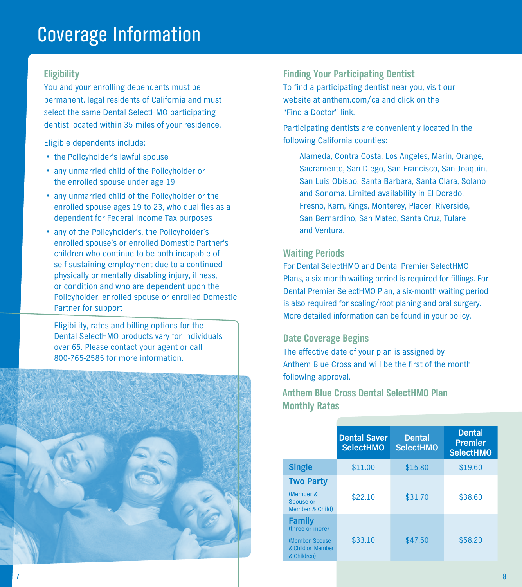### Coverage Information

#### **Eligibility**

You and your enrolling dependents must be permanent, legal residents of California and must select the same Dental SelectHMO participating dentist located within 35 miles of your residence.

Eligible dependents include:

- the Policyholder's lawful spouse
- any unmarried child of the Policyholder or the enrolled spouse under age 19
- any unmarried child of the Policyholder or the enrolled spouse ages 19 to 23, who qualifies as a dependent for Federal Income Tax purposes
- any of the Policyholder's, the Policyholder's enrolled spouse's or enrolled Domestic Partner's children who continue to be both incapable of self-sustaining employment due to a continued physically or mentally disabling injury, illness, or condition and who are dependent upon the Policyholder, enrolled spouse or enrolled Domestic Partner for support

Eligibility, rates and billing options for the Dental SelectHMO products vary for Individuals over 65. Please contact your agent or call 800-765-2585 for more information.



#### **Finding Your Participating Dentist**

To find a participating dentist near you, visit our website at anthem.com/ca and click on the "Find a Doctor" link.

Participating dentists are conveniently located in the following California counties:

Alameda, Contra Costa, Los Angeles, Marin, Orange, Sacramento, San Diego, San Francisco, San Joaquin, San Luis Obispo, Santa Barbara, Santa Clara, Solano and Sonoma. Limited availability in El Dorado, Fresno, Kern, Kings, Monterey, Placer, Riverside, San Bernardino, San Mateo, Santa Cruz, Tulare and Ventura.

#### **Waiting Periods**

For Dental SelectHMO and Dental Premier SelectHMO Plans, a six-month waiting period is required for fillings. For Dental Premier SelectHMO Plan, a six-month waiting period is also required for scaling/root planing and oral surgery. More detailed information can be found in your policy.

#### **Date Coverage Begins**

The effective date of your plan is assigned by Anthem Blue Cross and will be the first of the month following approval.

#### **Anthem Blue Cross Dental SelectHMO Plan Monthly Rates**

|                                                                                          | <b>Dental Saver</b><br><b>SelectHMO</b> | <b>Dental</b><br><b>SelectHMO</b> | <b>Dental</b><br><b>Premier</b><br><b>SelectHMO</b> |
|------------------------------------------------------------------------------------------|-----------------------------------------|-----------------------------------|-----------------------------------------------------|
| <b>Single</b>                                                                            | \$11.00                                 | \$15.80                           | \$19.60                                             |
| <b>Two Party</b><br>(Member &<br>Spouse or<br>Member & Child)                            | \$22.10                                 | \$31.70                           | \$38.60                                             |
| <b>Family</b><br>(three or more)<br>(Member, Spouse)<br>& Child or Member<br>& Children) | \$33.10                                 | \$47.50                           | \$58.20                                             |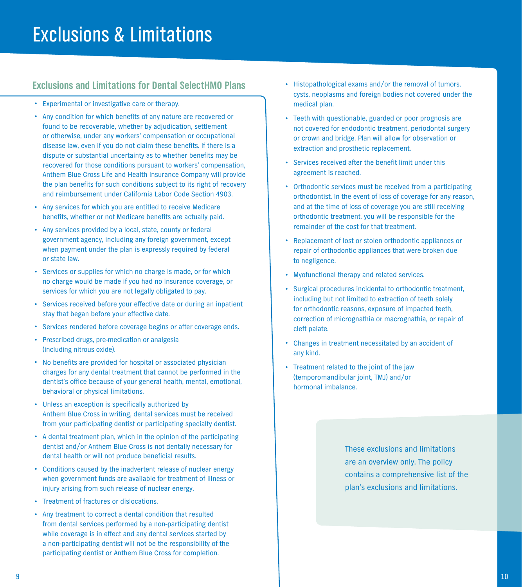#### **Exclusions and Limitations for Dental SelectHMO Plans**

- • Experimental or investigative care or therapy.
- • Any condition for which benefits of any nature are recovered or found to be recoverable, whether by adjudication, settlement or otherwise, under any workers' compensation or occupational disease law, even if you do not claim these benefits. If there is a dispute or substantial uncertainty as to whether benefits may be recovered for those conditions pursuant to workers' compensation, Anthem Blue Cross Life and Health Insurance Company will provide the plan benefits for such conditions subject to its right of recovery and reimbursement under California Labor Code Section 4903.
- Any services for which you are entitled to receive Medicare benefits, whether or not Medicare benefits are actually paid.
- Any services provided by a local, state, county or federal government agency, including any foreign government, except when payment under the plan is expressly required by federal or state law.
- Services or supplies for which no charge is made, or for which no charge would be made if you had no insurance coverage, or services for which you are not legally obligated to pay.
- Services received before your effective date or during an inpatient stay that began before your effective date.
- Services rendered before coverage begins or after coverage ends.
- • Prescribed drugs, pre-medication or analgesia (including nitrous oxide).
- No benefits are provided for hospital or associated physician charges for any dental treatment that cannot be performed in the dentist's office because of your general health, mental, emotional, behavioral or physical limitations.
- Unless an exception is specifically authorized by Anthem Blue Cross in writing, dental services must be received from your participating dentist or participating specialty dentist.
- A dental treatment plan, which in the opinion of the participating dentist and/or Anthem Blue Cross is not dentally necessary for dental health or will not produce beneficial results.
- • Conditions caused by the inadvertent release of nuclear energy when government funds are available for treatment of illness or injury arising from such release of nuclear energy.
- Treatment of fractures or dislocations.
- • Any treatment to correct a dental condition that resulted from dental services performed by a non-participating dentist while coverage is in effect and any dental services started by a non-participating dentist will not be the responsibility of the participating dentist or Anthem Blue Cross for completion.
- Histopathological exams and/or the removal of tumors, cysts, neoplasms and foreign bodies not covered under the medical plan.
- Teeth with questionable, guarded or poor prognosis are not covered for endodontic treatment, periodontal surgery or crown and bridge. Plan will allow for observation or extraction and prosthetic replacement.
- • Services received after the benefit limit under this agreement is reached.
- Orthodontic services must be received from a participating orthodontist. In the event of loss of coverage for any reason, and at the time of loss of coverage you are still receiving orthodontic treatment, you will be responsible for the remainder of the cost for that treatment.
- • Replacement of lost or stolen orthodontic appliances or repair of orthodontic appliances that were broken due to negligence.
- • Myofunctional therapy and related services.
- Surgical procedures incidental to orthodontic treatment, including but not limited to extraction of teeth solely for orthodontic reasons, exposure of impacted teeth, correction of micrognathia or macrognathia, or repair of cleft palate.
- • Changes in treatment necessitated by an accident of any kind.
- • Treatment related to the joint of the jaw (temporomandibular joint, TMJ) and/or hormonal imbalance.

These exclusions and limitations are an overview only. The policy contains a comprehensive list of the plan's exclusions and limitations.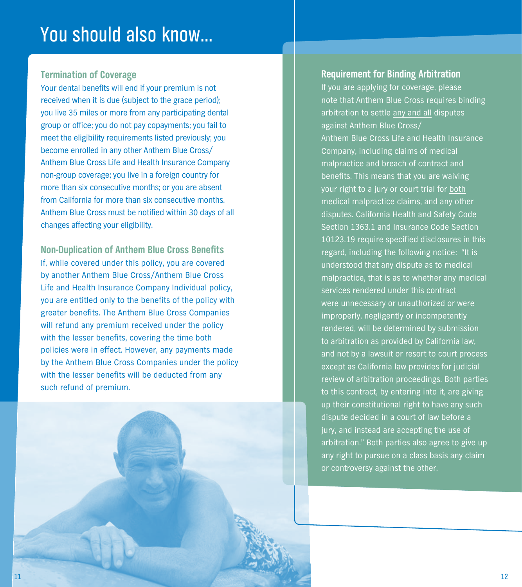### You should also know…

#### **Termination of Coverage**

Your dental benefits will end if your premium is not received when it is due (subject to the grace period); you live 35 miles or more from any participating dental group or office; you do not pay copayments; you fail to meet the eligibility requirements listed previously; you become enrolled in any other Anthem Blue Cross/ Anthem Blue Cross Life and Health Insurance Company non-group coverage; you live in a foreign country for more than six consecutive months; or you are absent from California for more than six consecutive months. Anthem Blue Cross must be notified within 30 days of all changes affecting your eligibility.

**Non-Duplication of Anthem Blue Cross Benefits** If, while covered under this policy, you are covered by another Anthem Blue Cross/Anthem Blue Cross Life and Health Insurance Company Individual policy, you are entitled only to the benefits of the policy with greater benefits. The Anthem Blue Cross Companies will refund any premium received under the policy with the lesser benefits, covering the time both policies were in effect. However, any payments made by the Anthem Blue Cross Companies under the policy with the lesser benefits will be deducted from any such refund of premium.

#### **Requirement for Binding Arbitration**

If you are applying for coverage, please note that Anthem Blue Cross requires binding arbitration to settle any and all disputes against Anthem Blue Cross/ Anthem Blue Cross Life and Health Insurance Company, including claims of medical malpractice and breach of contract and benefits. This means that you are waiving your right to a jury or court trial for both medical malpractice claims, and any other disputes. California Health and Safety Code Section 1363.1 and Insurance Code Section 10123.19 require specified disclosures in this regard, including the following notice: "It is understood that any dispute as to medical malpractice, that is as to whether any medical services rendered under this contract were unnecessary or unauthorized or were improperly, negligently or incompetently rendered, will be determined by submission to arbitration as provided by California law, and not by a lawsuit or resort to court process except as California law provides for judicial review of arbitration proceedings. Both parties to this contract, by entering into it, are giving up their constitutional right to have any such dispute decided in a court of law before a jury, and instead are accepting the use of arbitration." Both parties also agree to give up any right to pursue on a class basis any claim or controversy against the other.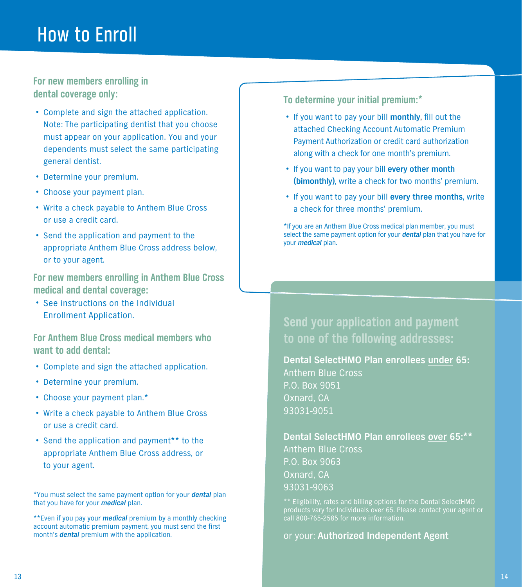### How to Enroll

**For new members enrolling in dental coverage only:**

- • Complete and sign the attached application. Note: The participating dentist that you choose must appear on your application. You and your dependents must select the same participating general dentist.
- • Determine your premium.
- • Choose your payment plan.
- Write a check payable to Anthem Blue Cross or use a credit card.
- Send the application and payment to the appropriate Anthem Blue Cross address below, or to your agent.

**For new members enrolling in Anthem Blue Cross medical and dental coverage:**

• See instructions on the Individual Enrollment Application.

**For Anthem Blue Cross medical members who want to add dental:**

- • Complete and sign the attached application.
- • Determine your premium.
- • Choose your payment plan.\*
- Write a check payable to Anthem Blue Cross or use a credit card.
- Send the application and payment<sup>\*\*</sup> to the appropriate Anthem Blue Cross address, or to your agent.

\*You must select the same payment option for your *dental* plan that you have for your *medical* plan.

\*\*Even if you pay your *medical* premium by a monthly checking account automatic premium payment, you must send the first month's *dental* premium with the application.

**To determine your initial premium:\***

- • If you want to pay your bill **monthly**, fill out the attached Checking Account Automatic Premium Payment Authorization or credit card authorization along with a check for one month's premium.
- • If you want to pay your bill **every other month (bimonthly)**, write a check for two months' premium.
- • If you want to pay your bill **every three months**, write a check for three months' premium.

\*If you are an Anthem Blue Cross medical plan member, you must select the same payment option for your *dental* plan that you have for your *medical* plan.

**Send your application and payment to one of the following addresses:**

**Dental SelectHMO Plan enrollees under 65:** Anthem Blue Cross P.O. Box 9051 Oxnard, CA 93031-9051

**Dental SelectHMO Plan enrollees over 65:\*\*** Anthem Blue Cross P.O. Box 9063 Oxnard, CA 93031-9063

call 800-765-2585 for more information.

or your: **Authorized Independent Agent**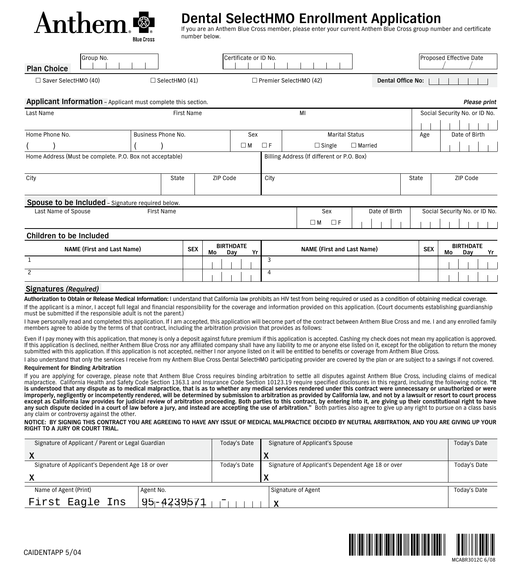

### **Dental SelectHMO Enrollment Application**

If you are an Anthem Blue Cross member, please enter your current Anthem Blue Cross group number and certificate number below.

| Group No.<br><b>Plan Choice</b> |                  | Certificate or ID No.         | Proposed Effective Date |
|---------------------------------|------------------|-------------------------------|-------------------------|
| $\Box$ Saver SelectHMO (40)     | ] SelectHMO (41) | $\Box$ Premier SelectHMO (42) | Dental Office No:       |

#### **Applicant Information** – Applicant must complete this section. *Please print*

| Please prin |  |
|-------------|--|

| Last Name                                                |                    | <b>First Name</b> |          |                               |          | MI                                         |                       |            | Social Security No. or ID No. |    |
|----------------------------------------------------------|--------------------|-------------------|----------|-------------------------------|----------|--------------------------------------------|-----------------------|------------|-------------------------------|----|
|                                                          |                    |                   |          |                               |          |                                            |                       |            |                               |    |
| Home Phone No.                                           | Business Phone No. |                   |          | Sex                           |          |                                            | <b>Marital Status</b> | Age        | Date of Birth                 |    |
|                                                          |                    |                   |          | $\square$ M                   | $\Box F$ | $\Box$ Single                              | $\Box$ Married        |            |                               |    |
| Home Address (Must be complete. P.O. Box not acceptable) |                    |                   |          |                               |          | Billing Address (If different or P.O. Box) |                       |            |                               |    |
|                                                          |                    |                   |          |                               |          |                                            |                       |            |                               |    |
| City                                                     | State              |                   | ZIP Code |                               | City     |                                            |                       | State      | ZIP Code                      |    |
|                                                          |                    |                   |          |                               |          |                                            |                       |            |                               |    |
| <b>Spouse to be Included</b> - Signature required below. |                    |                   |          |                               |          |                                            |                       |            |                               |    |
| Last Name of Spouse                                      | <b>First Name</b>  |                   |          |                               |          | Sex                                        | Date of Birth         |            | Social Security No. or ID No. |    |
|                                                          |                    |                   |          |                               |          | $\Box F$<br>$\square$ M                    |                       |            |                               |    |
| Children to be Included                                  |                    |                   |          |                               |          |                                            |                       |            |                               |    |
| <b>NAME (First and Last Name)</b>                        |                    | <b>SEX</b>        | Mo       | <b>BIRTHDATE</b><br>Yr<br>Day |          | <b>NAME (First and Last Name)</b>          |                       | <b>SEX</b> | <b>BIRTHDATE</b><br>Mo<br>Day | Yr |
|                                                          |                    |                   |          |                               | 3        |                                            |                       |            |                               |    |

#### **Signatures** *(Required)*

 $\overline{2}$ 

**Authorization to Obtain or Release Medical Information:** I understand that California law prohibits an HIV test from being required or used as a condition of obtaining medical coverage. If the applicant is a minor, I accept full legal and financial responsibility for the coverage and information provided on this application. (Court documents establishing guardianship must be submitted if the responsible adult is not the parent.)

4

I have personally read and completed this application. If I am accepted, this application will become part of the contract between Anthem Blue Cross and me. I and any enrolled family members agree to abide by the terms of that contract, including the arbitration provision that provides as follows:

Even if I pay money with this application, that money is only a deposit against future premium if this application is accepted. Cashing my check does not mean my application is approved. If this application is declined, neither Anthem Blue Cross nor any affiliated company shall have any liability to me or anyone else listed on it, except for the obligation to return the money submitted with this application. If this application is not accepted, neither I nor anyone listed on it will be entitled to benefits or coverage from Anthem Blue Cross.

I also understand that only the services I receive from my Anthem Blue Cross Dental SelectHMO participating provider are covered by the plan or are subject to a savings if not covered.

#### **Requirement for Binding Arbitration**

If you are applying for coverage, please note that Anthem Blue Cross requires binding arbitration to settle all disputes against Anthem Blue Cross, including claims of medical<br>malpractice. California Health and Safety Code **is understood that any dispute as to medical malpractice, that is as to whether any medical services rendered under this contract were unnecessary or unauthorized or were improperly, negligently or incompetently rendered, will be determined by submission to arbitration as provided by California law, and not by a lawsuit or resort to court process**  except as California law provides for judicial review of arbitration proceeding. Both parties to this contract, by entering into it, are giving up their constitutional right to have<br>any such dispute decided in a court of l any claim or controversy against the other.

**NOTICE: BY SIGNING THIS CONTRACT YOU ARE AGREEING TO HAVE ANY ISSUE OF MEDICAL MALPRACTICE DECIDED BY NEUTRAL ARBITRATION, AND YOU ARE GIVING UP YOUR RIGHT TO A JURY OR COURT TRIAL.**

| Signature of Applicant / Parent or Legal Guardian |                | Today's Date | Signature of Applicant's Spouse                   | Today's Date |  |
|---------------------------------------------------|----------------|--------------|---------------------------------------------------|--------------|--|
|                                                   |                |              |                                                   |              |  |
| Signature of Applicant's Dependent Age 18 or over |                | Today's Date | Signature of Applicant's Dependent Age 18 or over | Today's Date |  |
|                                                   |                |              |                                                   |              |  |
| Name of Agent (Print)                             | Agent No.      |              | Signature of Agent                                | Today's Date |  |
| First Eagle Ins                                   | $95 - 4239571$ |              |                                                   |              |  |



MCABR3012C 6/08